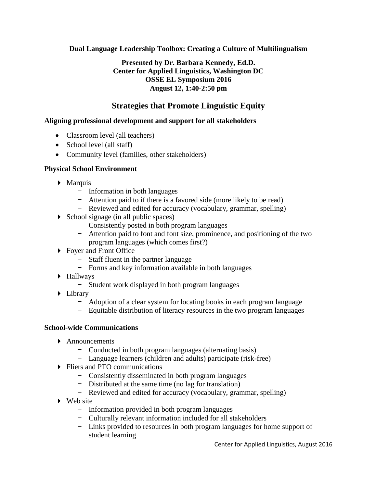**Dual Language Leadership Toolbox: Creating a Culture of Multilingualism**

## **Presented by Dr. Barbara Kennedy, Ed.D. Center for Applied Linguistics, Washington DC OSSE EL Symposium 2016 August 12, 1:40-2:50 pm**

# **Strategies that Promote Linguistic Equity**

## **Aligning professional development and support for all stakeholders**

- Classroom level (all teachers)
- School level (all staff)
- Community level (families, other stakeholders)

#### **Physical School Environment**

- **Marquis** 
	- − Information in both languages
	- − Attention paid to if there is a favored side (more likely to be read)
	- − Reviewed and edited for accuracy (vocabulary, grammar, spelling)
- $\triangleright$  School signage (in all public spaces)
	- − Consistently posted in both program languages
	- − Attention paid to font and font size, prominence, and positioning of the two program languages (which comes first?)
- ▶ Foyer and Front Office
	- − Staff fluent in the partner language
	- − Forms and key information available in both languages
- Hallways
	- − Student work displayed in both program languages
- Library
	- − Adoption of a clear system for locating books in each program language
	- − Equitable distribution of literacy resources in the two program languages

#### **School-wide Communications**

- Announcements
	- − Conducted in both program languages (alternating basis)
	- − Language learners (children and adults) participate (risk-free)
- **Fliers and PTO communications** 
	- − Consistently disseminated in both program languages
	- − Distributed at the same time (no lag for translation)
	- − Reviewed and edited for accuracy (vocabulary, grammar, spelling)
- ▶ Web site
	- − Information provided in both program languages
	- − Culturally relevant information included for all stakeholders
	- − Links provided to resources in both program languages for home support of student learning